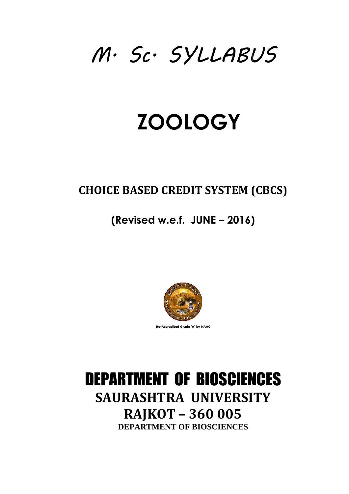# M. Sc. SYLLABUS SYLLABUS

# **ZOOLOGY**

# **CHOICE BASED CREDIT SYSTEM (CBCS)**

# **(Revised Revised w.e.f. JUNE – 2016) )**



**Re-Accredited Grade 'A' by NAAC** 

# DEPARTMENT OF BIOSCIENCES **SAURASHTRA UNIVERSITY RAJKOT – 360 005 DEPARTMENT OF BIOSCIENCES**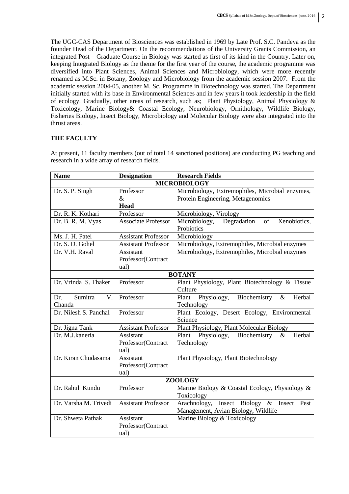The UGC-CAS Department of Biosciences was established in 1969 by Late Prof. S.C. Pandeya as the founder Head of the Department. On the recommendations of the University Grants Commission, an integrated Post – Graduate Course in Biology was started as first of its kind in the Country. Later on, keeping Integrated Biology as the theme for the first year of the course, the academic programme was diversified into Plant Sciences, Animal Sciences and Microbiology, which were more recently renamed as M.Sc. in Botany, Zoology and Microbiology from the academic session 2007. From the academic session 2004-05, another M. Sc. Programme in Biotechnology was started. The Department initially started with its base in Environmental Sciences and in few years it took leadership in the field of ecology. Gradually, other areas of research, such as; Plant Physiology, Animal Physiology & Toxicology, Marine Biology& Coastal Ecology, Neurobiology, Ornithology, Wildlife Biology, Fisheries Biology, Insect Biology, Microbiology and Molecular Biology were also integrated into the thrust areas.

# **THE FACULTY**

| <b>Name</b>                   | <b>Designation</b>         | <b>Research Fields</b>                                 |  |  |  |
|-------------------------------|----------------------------|--------------------------------------------------------|--|--|--|
| <b>MICROBIOLOGY</b>           |                            |                                                        |  |  |  |
| Dr. S. P. Singh               | Professor                  | Microbiology, Extremophiles, Microbial enzymes,        |  |  |  |
|                               | $\&$                       | Protein Engineering, Metagenomics                      |  |  |  |
|                               | Head                       |                                                        |  |  |  |
| Dr. R. K. Kothari             | Professor                  | Microbiology, Virology                                 |  |  |  |
| Dr. B. R. M. Vyas             | <b>Associate Professor</b> | Xenobiotics,<br>Microbiology,<br>Degradation<br>of     |  |  |  |
|                               |                            | Probiotics                                             |  |  |  |
| Ms. J. H. Patel               | <b>Assistant Professor</b> | Microbiology                                           |  |  |  |
| Dr. S. D. Gohel               | <b>Assistant Professor</b> | Microbiology, Extremophiles, Microbial enzymes         |  |  |  |
| Dr. V.H. Raval                | Assistant                  | Microbiology, Extremophiles, Microbial enzymes         |  |  |  |
|                               | Professor(Contract         |                                                        |  |  |  |
|                               | ual)                       |                                                        |  |  |  |
| <b>BOTANY</b>                 |                            |                                                        |  |  |  |
| Dr. Vrinda S. Thaker          | Professor                  | Plant Physiology, Plant Biotechnology & Tissue         |  |  |  |
|                               |                            | Culture                                                |  |  |  |
| $V_{\cdot}$<br>Sumitra<br>Dr. | Professor                  | Biochemistry<br>Plant<br>Physiology,<br>$\&$<br>Herbal |  |  |  |
| Chanda                        |                            | Technology                                             |  |  |  |
| Dr. Nilesh S. Panchal         | Professor                  | Plant Ecology, Desert Ecology, Environmental           |  |  |  |
|                               |                            | Science                                                |  |  |  |
| Dr. Jigna Tank                | <b>Assistant Professor</b> | Plant Physiology, Plant Molecular Biology              |  |  |  |
| Dr. M.J.kaneria               | Assistant                  | Physiology,<br>Herbal<br>Plant<br>Biochemistry<br>$\&$ |  |  |  |
|                               | Professor(Contract         | Technology                                             |  |  |  |
|                               | ual)                       |                                                        |  |  |  |
| Dr. Kiran Chudasama           | Assistant                  | Plant Physiology, Plant Biotechnology                  |  |  |  |
|                               | Professor(Contract         |                                                        |  |  |  |
|                               | ual)                       |                                                        |  |  |  |
| <b>ZOOLOGY</b>                |                            |                                                        |  |  |  |
| Dr. Rahul Kundu               | Professor                  | Marine Biology & Coastal Ecology, Physiology &         |  |  |  |
|                               |                            | Toxicology                                             |  |  |  |
| Dr. Varsha M. Trivedi         | <b>Assistant Professor</b> | Arachnology, Insect Biology & Insect<br>Pest           |  |  |  |
|                               |                            | Management, Avian Biology, Wildlife                    |  |  |  |
| Dr. Shweta Pathak             | Assistant                  | Marine Biology & Toxicology                            |  |  |  |
|                               | Professor(Contract         |                                                        |  |  |  |
|                               | ual)                       |                                                        |  |  |  |

At present, 11 faculty members (out of total 14 sanctioned positions) are conducting PG teaching and research in a wide array of research fields.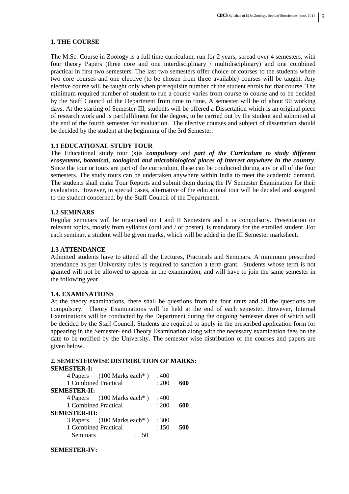# **1. THE COURSE**

The M.Sc. Course in Zoology is a full time curriculum, run for 2 years, spread over 4 semesters, with four theory Papers (three core and one interdisciplinary / multidisciplinary) and one combined practical in first two semesters. The last two semesters offer choice of courses to the students where two core courses and one elective (to be chosen from three available) courses will be taught. Any elective course will be taught only when prerequisite number of the student enrols for that course. The minimum required number of student to run a course varies from course to course and to be decided by the Staff Council of the Department from time to time. A semester will be of about 90 working days. At the starting of Semester-III, students will be offered a Dissertation which is an original piece of research work and is partfulfilment for the degree, to be carried out by the student and submitted at the end of the fourth semester for evaluation. The elective courses and subject of dissertation should be decided by the student at the beginning of the 3rd Semester.

# **1.1 EDUCATIONAL STUDY TOUR**

The Educational study tour (s)is *compulsory* and *part of the Curriculum to study different ecosystems, botanical, zoological and microbiological places of interest anywhere in the country*. Since the tour or tours are part of the curriculum, these can be conducted during any or all of the four semesters. The study tours can be undertaken anywhere within India to meet the academic demand. The students shall make Tour Reports and submit them during the IV Semester Examination for their evaluation. However, in special cases, alternative of the educational tour will be decided and assigned to the student concerned, by the Staff Council of the Department.

# **1.2 SEMINARS**

Regular seminars will be organised on I and II Semesters and it is compulsory. Presentation on relevant topics, mostly from syllabus (oral and / or poster), is mandatory for the enrolled student. For each seminar, a student will be given marks, which will be added in the III Semester marksheet.

# **1.3 ATTENDANCE**

Admitted students have to attend all the Lectures, Practicals and Seminars. A minimum prescribed attendance as per University rules is required to sanction a term grant. Students whose term is not granted will not be allowed to appear in the examination, and will have to join the same semester in the following year.

# **1.4. EXAMINATIONS**

At the theory examinations, there shall be questions from the four units and all the questions are compulsory. Theory Examinations will be held at the end of each semester. However, Internal Examinations will be conducted by the Department during the ongoing Semester dates of which will be decided by the Staff Council. Students are required to apply in the prescribed application form for appearing in the Semester- end Theory Examination along with the necessary examination fees on the date to be notified by the University. The semester wise distribution of the courses and papers are given below.

# **2. SEMESTERWISE DISTRIBUTION OF MARKS:**

# **SEMESTER-I:**  4 Papers (100 Marks each\* ) : 400 1 Combined Practical : 200 **600 SEMESTER-II:**  4 Papers (100 Marks each\* ) : 400 1 Combined Practical : 200 **600 SEMESTER-III:**  3 Papers (100 Marks each\* ) : 300 1 Combined Practical : 150 **500** Seminars : 50

# **SEMESTER-IV:**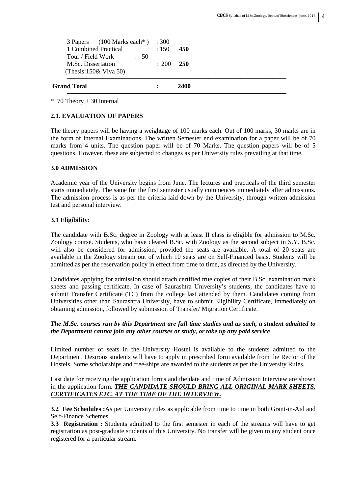| <b>Grand Total</b>                                                                               |       | 2400       |
|--------------------------------------------------------------------------------------------------|-------|------------|
| M.Sc. Dissertation<br>(Thesis: $150\&$ Viva 50)                                                  | : 200 | <b>250</b> |
| 3 Papers (100 Marks each*) : 300<br>1 Combined Practical<br>Tour / Field Work<br>$\therefore$ 50 | : 150 | 450        |

\* 70 Theory + 30 Internal

# **2.1. EVALUATION OF PAPERS**

The theory papers will be having a weightage of 100 marks each. Out of 100 marks, 30 marks are in the form of Internal Examinations. The written Semester end examination for a paper will be of 70 marks from 4 units. The question paper will be of 70 Marks. The question papers will be of 5 questions. However, these are subjected to changes as per University rules prevailing at that time.

# **3.0 ADMISSION**

Academic year of the University begins from June. The lectures and practicals of the third semester starts immediately. The same for the first semester usually commences immediately after admissions. The admission process is as per the criteria laid down by the University, through written admission test and personal interview.

# **3.1 Eligibility:**

The candidate with B.Sc. degree in Zoology with at least II class is eligible for admission to M.Sc. Zoology course. Students, who have cleared B.Sc. with Zoology as the second subject in S.Y. B.Sc. will also be considered for admission, provided the seats are available. A total of 20 seats are available in the Zoology stream out of which 10 seats are on Self-Financed basis. Students will be admitted as per the reservation policy in effect from time to time, as directed by the University.

Candidates applying for admission should attach certified true copies of their B.Sc. examination mark sheets and passing certificate. In case of Saurashtra University's students, the candidates have to submit Transfer Certificate (TC) from the college last attended by them. Candidates coming from Universities other than Saurashtra University, have to submit Eligibility Certificate, immediately on obtaining admission, followed by submission of Transfer/ Migration Certificate.

# *The M.Sc. courses run by this Department are full time studies and as such, a student admitted to the Department cannot join any other courses or study, or take up any paid service*.

Limited number of seats in the University Hostel is available to the students admitted to the Department. Desirous students will have to apply in prescribed form available from the Rector of the Hostels. Some scholarships and free-ships are awarded to the students as per the University Rules.

Last date for receiving the application forms and the date and time of Admission Interview are shown in the application form. *THE CANDIDATE SHOULD BRING ALL ORIGINAL MARK SHEETS, CERTIFICATES ETC. AT THE TIME OF THE INTERVIEW.*

**3.2 Fee Schedules :**As per University rules as applicable from time to time in both Grant-in-Aid and Self-Finance Schemes

**3.3 Registration :** Students admitted to the first semester in each of the streams will have to get registration as post-graduate students of this University. No transfer will be given to any student once registered for a particular stream.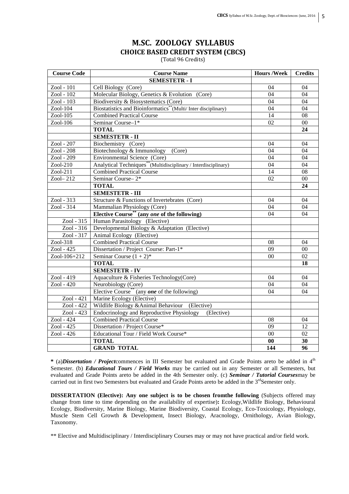# **M.SC. ZOOLOGY SYLLABUS CHOICE BASED CREDIT SYSTEM (CBCS)**

(Total 96 Credits)

| <b>Course Code</b>      | <b>Course Name</b>                                                          | <b>Hours/Week</b> | <b>Credits</b>  |
|-------------------------|-----------------------------------------------------------------------------|-------------------|-----------------|
|                         | <b>SEMESTETR - I</b>                                                        |                   |                 |
| Zool - 101              | Cell Biology (Core)                                                         | 04                | 04              |
| Zool - 102              | Molecular Biology, Genetics & Evolution (Core)                              | 04                | 04              |
| Zool - 103              | Biodiversity & Biosystematics (Core)                                        | 04                | 04              |
| Zool-104                | Biostatistics and Bioinformatics**(Multi/Inter disciplinary)                | 04                | 04              |
| Zool-105                | <b>Combined Practical Course</b>                                            | 14                | 08              |
| $Zool-106$              | Seminar Course-1*                                                           | 02                | $00\,$          |
|                         | <b>TOTAL</b>                                                                |                   | 24              |
|                         | <b>SEMESTETR - II</b>                                                       |                   |                 |
| Zool - 207              | Biochemistry (Core)                                                         | 04                | 04              |
| Zool - 208              | Biotechnology & Immunology (Core)                                           | 04                | 04              |
| Zool - 209              | Environmental Science (Core)                                                | 04                | 04              |
| $Zool-210$              | Analytical Techniques <sup>**</sup> (Multidisciplinary / Interdisciplinary) | 04                | 04              |
| Zool-211                | <b>Combined Practical Course</b>                                            | 14                | 08              |
| Zool- $212$             | Seminar Course-2*                                                           | 02                | $00\,$          |
|                         | <b>TOTAL</b>                                                                |                   | 24              |
|                         | <b>SEMESTETR - III</b>                                                      |                   |                 |
| Zool - 313              | Structure & Functions of Invertebrates (Core)                               | 04                | 04              |
| Zool - $31\overline{4}$ | Mammalian Physiology (Core)                                                 | 04                | 04              |
|                         | Elective Course <sup>**</sup> (any one of the following)                    | 04                | 04              |
| Zool - 315              | Human Parasitology (Elective)                                               |                   |                 |
| Zool - 316              | Developmental Biology & Adaptation (Elective)                               |                   |                 |
| Zool - 317              | Animal Ecology (Elective)                                                   |                   |                 |
| Zool-318                | <b>Combined Practical Course</b>                                            | 08                | 04              |
| Zool - 425              | Dissertation / Project Course: Part-1*                                      | $\overline{09}$   | 00              |
| Zool-106+212            | Seminar Course $(1 + 2)^*$                                                  | $00\,$            | 02              |
|                         | <b>TOTAL</b>                                                                |                   | 18              |
|                         | <b>SEMESTETR - IV</b>                                                       |                   |                 |
| Zool - 419              | Aquaculture & Fisheries Technology(Core)                                    | 04                | 04              |
| Zool - 420              | Neurobiology (Core)                                                         | 04                | 04              |
|                         | Elective Course <sup>**</sup> (any <b>one</b> of the following)             | 04                | 04              |
| $Zool - 421$            | Marine Ecology (Elective)                                                   |                   |                 |
| Zool - 422              | Wildlife Biology & Animal Behaviour (Elective)                              |                   |                 |
| Zool - 423              | Endocrinology and Reproductive Physiology<br>(Elective)                     |                   |                 |
| $\overline{2001 - 424}$ | <b>Combined Practical Course</b>                                            | 08                | 04              |
| Zool - 425              | Dissertation / Project Course*                                              | 09                | 12              |
| Zool - 426              | Educational Tour / Field Work Course*                                       | $00\,$            | 02              |
|                         | <b>TOTAL</b>                                                                | $\bf{00}$         | 30              |
|                         | <b>GRAND TOTAL</b>                                                          | 144               | $\overline{96}$ |

**\*** (a)*Dissertation / Project*commences in III Semester but evaluated and Grade Points areto be added in 4th Semester. (b) *Educational Tours / Field Works* may be carried out in any Semester or all Semesters, but evaluated and Grade Points areto be added in the 4th Semester only. (c) *Seminar / Tutorial Courses*may be carried out in first two Semesters but evaluated and Grade Points areto be added in the 3<sup>rd</sup>Semester only.

**DISSERTATION (Elective): Any one subject is to be chosen fromthe following** (Subjects offered may change from time to time depending on the availability of expertise)**:** Ecology,Wildlife Biology, Behavioural Ecology, Biodiversity, Marine Biology, Marine Biodiversity, Coastal Ecology, Eco-Toxicology, Physiology, Muscle Stem Cell Growth & Development, Insect Biology, Aracnology, Ornithology, Avian Biology, Taxonomy.

\*\* Elective and Multidisciplinary / Interdisciplinary Courses may or may not have practical and/or field work.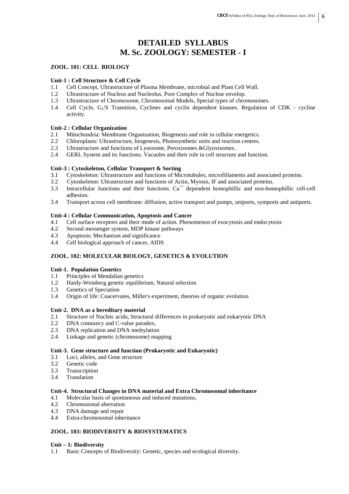# **DETAILED SYLLABUS M. Sc. ZOOLOGY: SEMESTER - I**

# **ZOOL. 101: CELL BIOLOGY**

#### **Unit-1 : Cell Structure & Cell Cycle**

- 1.1 Cell Concept, Ultrastructure of Plasma Membrane, microbial and Plant Cell Wall.
- 1.2 Ultrastructure of Nucleus and Nucleolus. Pore Complex of Nuclear envelop.
- 1.3 Ultrastructure of Chromosome, Chromosomal Models, Special types of chromosomes.
- 1.4 Cell Cycle, G1/S Transition, Cyclines and cyclin dependent kinases. Regulation of CDK cycline activity.

# **Unit-2 : Cellular Organization**

- 2.1 Mitochondria: Membrane Organization, Biogenesis and role in cellular energetics.<br>2.2 Chloroplasts: Ultrastructure, biogenesis. Photosynthetic units and reaction centres.
- 2.2 Chloroplasts: Ultrastructure, biogenesis, Photosynthetic units and reaction centres.
- 2.3 Ultrastructure and functions of Lysosome, Peroxisomes &Glyoxisomes.
- 2.4 GERL System and its functions. Vacuoles and their role in cell structure and function.

# **Unit-3 : Cytoskeleton, Cellular Transport & Sorting**

- 3.1 Cytoskeleton: Ultrastructure and functions of Microtubules, microfillaments and associated proteins.
- 3.2 Cytoskeleton: Ultrastructure and functions of Actin, Myosin, IF and associated proteins.
- 3.3 Intracellular Junctions and their functions.  $Ca^{++}$  dependent homophillic and non-homophillic cell-cell adhesion.
- 3.4 Transport across cell membrane: diffusion, active transport and pumps, uniports, symports and antiports.

#### **Unit-4 : Cellular Communication, Apoptosis and Cancer**

- 4.1 Cell surface receptors and their mode of action. Phenomenon of exocytosis and endocytosis
- 4.2 Second messenger system, MDP kinase pathways
- 4.3 Apoptosis: Mechanism and significance
- 4.4 Cell biological approach of cancer, AIDS

# **ZOOL. 102: MOLECULAR BIOLOGY, GENETICS & EVOLUTION**

#### **Unit-1. Population Genetics**

- 1.1 Principles of Mendalian genetics
- 1.2 Hardy-Weinberg genetic equilibrium, Natural selection
- 1.3 Genetics of Speciation
- 1.4 Origin of life: Coacervates, Miller's experiment, theories of organic evolution

#### **Unit-2. DNA as a hereditary material**

- 2.1 Structure of Nucleic acids, Structural differences in prokaryotic and eukaryotic DNA
- 2.2 DNA constancy and C-value paradox,
- 2.3 DNA replication and DNA methylation
- 2.4 Linkage and genetic (chromosome) mapping

## **Unit-3. Gene structure and function (Prokaryotic and Eukaryotic)**

- 3.1 Loci, alleles, and Gene structure
- 3.2 Genetic code
- 3.3 Transcription
- 3.4 Translation

# **Unit-4. Structural Changes in DNA material and Extra Chromosomal inheritance**

- 4.1 Molecular basis of spontaneous and induced mutations,<br>4.2 Chromosomal aberration
- Chromosomal aberration
- 4.3 DNA damage and repair
- 4.4 Extra-chromosomal inheritance

# **ZOOL. 103: BIODIVERSITY & BIOSYSTEMATICS**

#### **Unit – 1: Biodiversity**

1.1 Basic Concepts of Biodiversity: Genetic, species and ecological diversity.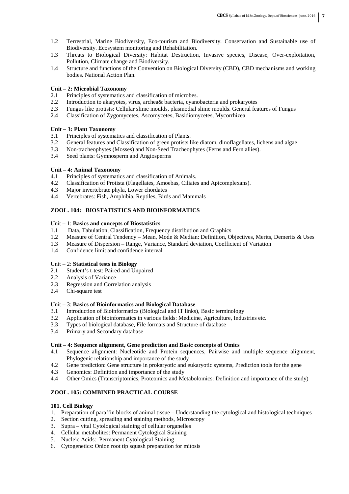- 1.2 Terrestrial, Marine Biodiversity, Eco-tourism and Biodiversity. Conservation and Sustainable use of Biodiversity. Ecosystem monitoring and Rehabilitation.
- 1.3 Threats to Biological Diversity: Habitat Destruction, Invasive species, Disease, Over-exploitation, Pollution, Climate change and Biodiversity.
- 1.4 Structure and functions of the Convention on Biological Diversity (CBD), CBD mechanisms and working bodies. National Action Plan.

### **Unit – 2: Microbial Taxonomy**

- 2.1 Principles of systematics and classification of microbes.<br>2.2 Introduction to akaryotes, virus, archea& bacteria, cyang
- 2.2 Introduction to akaryotes, virus, archea& bacteria, cyanobacteria and prokaryotes
- 2.3 Fungus like protists: Cellular slime moulds, plasmodial slime moulds. General features of Fungus
- 2.4 Classification of Zygomycetes, Ascomycetes, Basidiomycetes, Mycorrhizea

### **Unit – 3: Plant Taxonomy**

- 3.1 Principles of systematics and classification of Plants.
- 3.2 General features and Classification of green protists like diatom, dinoflagellates, lichens and algae
- 3.3 Non-tracheophytes (Mosses) and Non-Seed Tracheophytes (Ferns and Fern allies).
- 3.4 Seed plants: Gymnosperm and Angiosperms

# **Unit – 4: Animal Taxonomy**

- 4.1 Principles of systematics and classification of Animals.<br>4.2 Classification of Protista (Flagellates, Amoebas, Ciliate
- 4.2 Classification of Protista (Flagellates, Amoebas, Ciliates and Apicomplexans).
- 4.3 Major invertebrate phyla, Lower chordates
- 4.4 Vertebrates: Fish, Amphibia, Reptiles, Birds and Mammals

# **ZOOL. 104: BIOSTATISTICS AND BIOINFORMATICS**

### Unit – 1: **Basics and concepts of Biostatistics**

- 1.1 Data, Tabulation, Classification, Frequency distribution and Graphics
- 1.2 Measure of Central Tendency Mean, Mode & Median: Definition, Objectives, Merits, Demerits & Uses
- 1.3 Measure of Dispersion Range, Variance, Standard deviation, Coefficient of Variation
- 1.4 Confidence limit and confidence interval

#### Unit – 2: **Statistical tests in Biology**

- 2.1 Student's t-test: Paired and Unpaired
- 2.2 Analysis of Variance
- 2.3 Regression and Correlation analysis
- 2.4 Chi-square test

# Unit – 3: **Basics of Bioinformatics and Biological Database**

- 3.1 Introduction of Bioinformatics (Biological and IT links), Basic terminology
- 3.2 Application of bioinformatics in various fields: Medicine, Agriculture, Industries etc.
- 3.3 Types of biological database, File formats and Structure of database
- 3.4 Primary and Secondary database

### **Unit – 4: Sequence alignment, Gene prediction and Basic concepts of Omics**

- 4.1 Sequence alignment: Nucleotide and Protein sequences, Pairwise and multiple sequence alignment, Phylogenic relationship and importance of the study
- 4.2 Gene prediction: Gene structure in prokaryotic and eukaryotic systems, Prediction tools for the gene
- 4.3 Genomics: Definition and importance of the study
- 4.4 Other Omics (Transcriptomics, Proteomics and Metabolomics: Definition and importance of the study)

# **ZOOL. 105: COMBINED PRACTICAL COURSE**

#### **101. Cell Biology**

- 1. Preparation of paraffin blocks of animal tissue Understanding the cytological and histological techniques
- 2. Section cutting, spreading and staining methods, Microscopy
- 3. Supra vital Cytological staining of cellular organelles
- 4. Cellular metabolites: Permanent Cytological Staining
- 5. Nucleic Acids: Permanent Cytological Staining
- 6. Cytogenetics: Onion root tip squash preparation for mitosis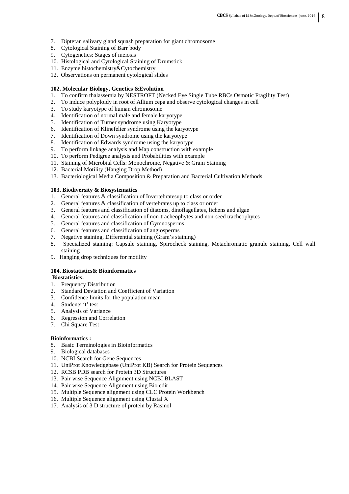- 7. Dipteran salivary gland squash preparation for giant chromosome
- 8. Cytological Staining of Barr body
- 9. Cytogenetics: Stages of meiosis
- 10. Histological and Cytological Staining of Drumstick
- 11. Enzyme histochemistry&Cytochemistry
- 12. Observations on permanent cytological slides

# **102. Molecular Biology, Genetics &Evolution**

- 1. To confirm thalassemia by NESTROFT (Necked Eye Single Tube RBCs Osmotic Fragility Test)
- 2. To induce polyploidy in root of Allium cepa and observe cytological changes in cell
- 3. To study karyotype of human chromosome
- 4. Identification of normal male and female karyotype
- 5. Identification of Turner syndrome using Karyotype
- 6. Identification of Klinefelter syndrome using the karyotype
- 7. Identification of Down syndrome using the karyotype
- 8. Identification of Edwards syndrome using the karyotype
- 9. To perform linkage analysis and Map construction with example
- 10. To perform Pedigree analysis and Probabilities with example
- 11. Staining of Microbial Cells: Monochrome, Negative & Gram Staining
- 12. Bacterial Motility (Hanging Drop Method)
- 13. Bacteriological Media Composition & Preparation and Bacterial Cultivation Methods

# **103. Biodiversity & Biosystematics**

- 1. General features & classification of Invertebratesup to class or order
- 2. General features & classification of vertebrates up to class or order
- 3. General features and classification of diatoms, dinoflagellates, lichens and algae
- 4. General features and classification of non-tracheophytes and non-seed tracheophytes
- 5. General features and classification of Gymnosperms
- 6. General features and classification of angiosperms
- 7. Negative staining, Differential staining (Gram's staining)
- 8. Specialized staining: Capsule staining, Spirocheck staining, Metachromatic granule staining, Cell wall staining
- 9. Hanging drop techniques for motility

# **104. Biostatistics& Bioinformatics**

# **Biostatistics:**

- 1. Frequency Distribution
- 2. Standard Deviation and Coefficient of Variation
- 3. Confidence limits for the population mean
- 4. Students 't' test
- 5. Analysis of Variance
- 6. Regression and Correlation
- 7. Chi Square Test

# **Bioinformatics :**

- 8. Basic Terminologies in Bioinformatics
- 9. Biological databases
- 10. NCBI Search for Gene Sequences
- 11. UniProt Knowledgebase (UniProt KB) Search for Protein Sequences
- 12. RCSB PDB search for Protein 3D Structures
- 13. Pair wise Sequence Alignment using NCBI BLAST
- 14. Pair wise Sequence Alignment using Bio edit
- 15. Multiple Sequence alignment using CLC Protein Workbench
- 16. Multiple Sequence alignment using Clustal X
- 17. Analysis of 3 D structure of protein by Rasmol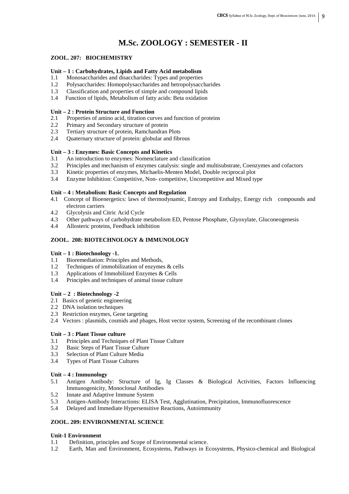# **M.Sc. ZOOLOGY : SEMESTER - II**

# **ZOOL. 207: BIOCHEMISTRY**

# **Unit – 1 : Carbohydrates, Lipids and Fatty Acid metabolism**

- 1.1 Monosaccharides and disaccharides: Types and properties
- 1.2 Polysaccharides: Homopolysaccharides and hetropolysaccharides
- 1.3 Classification and properties of simple and compound lipids
- 1.4 Function of lipids, Metabolism of fatty acids: Beta oxidation

# **Unit – 2 : Protein Structure and Function**

- 2.1 Properties of amino acid, titration curves and function of proteins
- 2.2 Primary and Secondary structure of protein
- 2.3 Tertiary structure of protein, Ramchandran Plots
- 2.4 Ouaternary structure of protein: globular and fibrous

### **Unit – 3 : Enzymes: Basic Concepts and Kinetics**

- 3.1 An introduction to enzymes: Nomenclature and classification
- 3.2 Principles and mechanism of enzymes catalysis: single and multisubstrate, Coenzymes and cofactors
- 3.3 Kinetic properties of enzymes, Michaelis-Menten Model, Double reciprocal plot
- 3.4 Enzyme Inhibition: Competitive, Non- competitive, Uncompetitive and Mixed type

### **Unit – 4 : Metabolism: Basic Concepts and Regulation**

- 4.1 Concept of Bioenergetics: laws of thermodynamic, Entropy and Enthalpy, Energy rich compounds and electron carriers
- 4.2 Glycolysis and Citric Acid Cycle
- 4.3 Other pathways of carbohydrate metabolism ED, Pentose Phosphate, Glyoxylate, Gluconeogenesis
- 4.4 Allosteric proteins, Feedback inhibition

# **ZOOL. 208: BIOTECHNOLOGY & IMMUNOLOGY**

#### **Unit – 1 : Biotechnology -1.**

- 1.1 Bioremediation: Principles and Methods,
- 1.2 Techniques of immobilization of enzymes & cells
- 1.3 Applications of Immobilized Enzymes & Cells
- 1.4 Principles and techniques of animal tissue culture

# **Unit – 2 : Biotechnology -2**

- 2.1 Basics of genetic engineering
- 2.2 DNA isolation techniques
- 2.3 Restriction enzymes, Gene targeting
- 2.4 Vectors : plasmids, cosmids and phages, Host vector system, Screening of the recombinant clones

# **Unit – 3 : Plant Tissue culture**

- 3.1 Principles and Techniques of Plant Tissue Culture
- 3.2 Basic Steps of Plant Tissue Culture
- 3.3 Selection of Plant Culture Media
- 3.4 Types of Plant Tissue Cultures

# **Unit – 4 : Immunology**

- 5.1 Antigen Antibody: Structure of Ig, Ig Classes & Biological Activities, Factors Influencing Immunogenicity, Monoclonal Antibodies
- 5.2 Innate and Adaptive Immune System
- 5.3 Antigen-Antibody Interactions: ELISA Test, Agglutination, Precipitation, Immunofluorescence
- 5.4 Delayed and Immediate Hypersensitive Reactions, Autoimmunity

# **ZOOL. 209: ENVIRONMENTAL SCIENCE**

#### **Unit-1 Environment**

- 1.1 Definition, principles and Scope of Environmental science.
- 1.2 Earth, Man and Environment, Ecosystems, Pathways in Ecosystems, Physico-chemical and Biological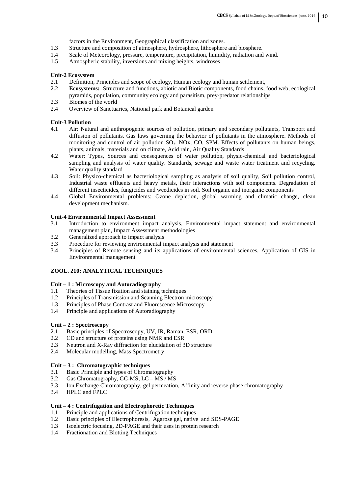factors in the Environment, Geographical classification and zones.

- 1.3 Structure and composition of atmosphere, hydrosphere, lithosphere and biosphere.
- 1.4 Scale of Meteorology, pressure, temperature, precipitation, humidity, radiation and wind.<br>1.5 Atmospheric stability, inversions and mixing heights, windroses
- Atmospheric stability, inversions and mixing heights, windroses

### **Unit-2 Ecosystem**

- 2.1 Definition, Principles and scope of ecology, Human ecology and human settlement,
- 2.2 **Ecosystems:** Structure and functions, abiotic and Biotic components, food chains, food web, ecological pyramids, population, community ecology and parasitism, prey-predator relationships
- 2.3 Biomes of the world
- 2.4 Overview of Sanctuaries, National park and Botanical garden

### **Unit-3 Pollution**

- 4.1 Air: Natural and anthropogenic sources of pollution, primary and secondary pollutants, Transport and diffusion of pollutants. Gas laws governing the behavior of pollutants in the atmosphere. Methods of monitoring and control of air pollution  $SO_2$ ,  $NOX$ ,  $CO$ ,  $SPM$ . Effects of pollutants on human beings, plants, animals, materials and on climate, Acid rain, Air Quality Standards
- 4.2 Water: Types, Sources and consequences of water pollution, physic-chemical and bacteriological sampling and analysis of water quality. Standards, sewage and waste water treatment and recycling. Water quality standard
- 4.3 Soil: Physico-chemical as bacteriological sampling as analysis of soil quality, Soil pollution control, Industrial waste effluents and heavy metals, their interactions with soil components. Degradation of different insecticides, fungicides and weedicides in soil. Soil organic and inorganic components
- 4.4 Global Environmental problems: Ozone depletion, global warming and climatic change, clean development mechanism.

#### **Unit-4 Environmental Impact Assessment**

- 3.1 Introduction to environment impact analysis, Environmental impact statement and environmental management plan, Impact Assessment methodologies
- 3.2 Generalized approach to impact analysis
- 3.3 Procedure for reviewing environmental impact analysis and statement
- 3.4 Principles of Remote sensing and its applications of environmental sciences, Application of GIS in Environmental management

#### **ZOOL. 210: ANALYTICAL TECHNIQUES**

#### **Unit – 1 : Microscopy and Autoradiography**

- 1.1 Theories of Tissue fixation and staining techniques
- 1.2 Principles of Transmission and Scanning Electron microscopy
- 1.3 Principles of Phase Contrast and Fluorescence Microscopy
- 1.4 Principle and applications of Autoradiography

# **Unit – 2 : Spectroscopy**

- 2.1 Basic principles of Spectroscopy, UV, IR, Raman, ESR, ORD
- 2.2 CD and structure of proteins using NMR and ESR
- 2.3 Neutron and X-Ray diffraction for elucidation of 3D structure
- 2.4 Molecular modelling, Mass Spectrometry

#### **Unit – 3 : Chromatographic techniques**

- 3.1 Basic Principle and types of Chromatography
- 3.2 Gas Chromatography, GC-MS, LC MS / MS
- 3.3 Ion Exchange Chromatography, gel permeation, Affinity and reverse phase chromatography
- 3.4 HPLC and FPLC

# **Unit – 4 : Centrifugation and Electrophoretic Techniques**

- 1.1 Principle and applications of Centrifugation techniques
- 1.2 Basic principles of Electrophoresis, Agarose gel, native and SDS-PAGE
- 1.3 Isoelectric focusing, 2D-PAGE and their uses in protein research
- 1.4 Fractionation and Blotting Techniques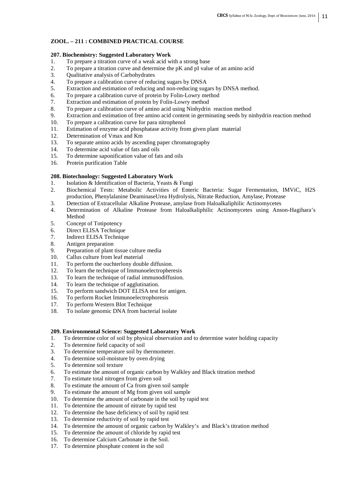# **ZOOL. – 211 : COMBINED PRACTICAL COURSE**

- **207. Biochemistry: Suggested Laboratory Work**  1. To prepare a titration curve of a weak acid with a strong base
- 2. To prepare a titration curve and determine the pK and pI value of an amino acid<br>3. Oualitative analysis of Carbohydrates
- 3. Qualitative analysis of Carbohydrates<br>4. To prepare a calibration curve of reduc
- To prepare a calibration curve of reducing sugars by DNSA
- 5. Extraction and estimation of reducing and non-reducing sugars by DNSA method.
- 6. To prepare a calibration curve of protein by Folin-Lowry method
- 7. Extraction and estimation of protein by Folin-Lowry method
- 8. To prepare a calibration curve of amino acid using Ninhydrin reaction method
- 9. Extraction and estimation of free amino acid content in germinating seeds by ninhydrin reaction method
- 10. To prepare a calibration curve for para nitrophenol<br>11. Estimation of enzyme acid phosphatase activity from
- Estimation of enzyme acid phosphatase activity from given plant material
- 12. Determination of Vmax and Km<br>13. To separate amino acids by ascer
- 13. To separate amino acids by ascending paper chromatography
- 14. To determine acid value of fats and oils
- 15. To determine saponification value of fats and oils
- 16. Protein purification Table

# **208. Biotechnology: Suggested Laboratory Work**

- 1. Isolation & Identification of Bacteria, Yeasts & Fungi
- 2. Biochemical Tests: Metabolic Activities of Enteric Bacteria: Sugar Fermentation, IMViC, H2S production, Phenylalanine DeaminaseUrea Hydrolysis, Nitrate Reduction, Amylase, Protease
- 3. Detection of Extracellular Alkaline Protease, amylase from Haloalkaliphilic Actinomycetes
- 4. Determination of Alkaline Protease from Haloalkaliphilic Actinomycetes using Anson-Hagihara's Method
- 5. Concept of Totipotency
- 6. Direct ELISA Technique
- 7. Indirect ELISA Technique
- 8. Antigen preparation
- 9. Preparation of plant tissue culture media
- 10. Callus culture from leaf material
- 11. To perform the ouchterlony double diffusion.
- 12. To learn the technique of Immunoelectropheresis
- 13. To learn the technique of radial immunodiffusion.
- 14. To learn the technique of agglutination.
- 15. To perform sandwich DOT ELISA test for antigen.
- 16. To perform Rocket Immunoelectrophoresis
- 17. To perform Western Blot Technique
- 18. To isolate genomic DNA from bacterial isolate

# **209. Environmental Science: Suggested Laboratory Work**

- 1. To determine color of soil by physical observation and to determine water holding capacity
- 2. To determine field capacity of soil
- 3. To determine temperature soil by thermometer.
- 4. To determine soil-moisture by oven drying
- 5. To determine soil texture
- 6. To estimate the amount of organic carbon by Walkley and Black titration method
- 7. To estimate total nitrogen from given soil
- 8. To estimate the amount of Ca from given soil sample
- 9. To estimate the amount of Mg from given soil sample
- 10. To determine the amount of carbonate in the soil by rapid test
- 11. To determine the amount of nitrate by rapid test
- 12. To determine the base deficiency of soil by rapid test
- 13. To determine reductivity of soil by rapid test
- 14. To determine the amount of organic carbon by Walkley's and Black's titration method
- 15. To determine the amount of chloride by rapid test
- 16. To determine Calcium Carbonate in the Soil.
- 17. To determine phosphate content in the soil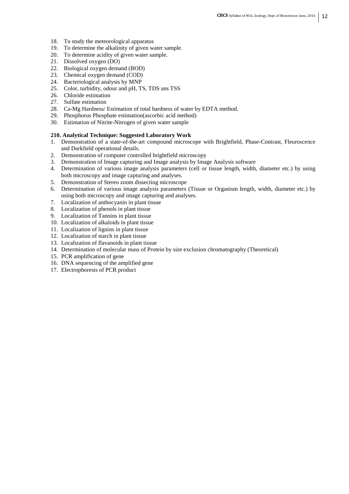- 18. To study the meteorological apparatus
- 19. To determine the alkalinity of given water sample.
- 20. To determine acidity of given water sample.
- 21. Dissolved oxygen (DO)
- 22. Biological oxygen demand (BOD)
- 23. Chemical oxygen demand (COD)
- 24. Bacteriological analysis by MNP
- 25. Color, turbidity, odour and pH, TS, TDS ans TSS
- 26. Chloride estimation
- 27. Sulfate estimation
- 28. Ca-Mg Hardness/ Estimation of total hardness of water by EDTA method.
- 29. Phosphorus Phosphate estimation(ascorbic acid method)
- 30. Estimation of Nitrite-Nitrogen of given water sample

#### **210. Analytical Technique: Suggested Laboratory Work**

- 1. Demonstration of a state-of-the-art compound microscope with Brightfield, Phase-Contrast, Fleuroscence and Darkfield operational details.
- 2. Demonstration of computer controlled brightfield microscopy
- 3. Demonstration of Image capturing and Image analysis by Image Analysis software
- 4. Determination of various image analysis parameters (cell or tissue length, width, diameter etc.) by using both microscopy and image capturing and analyses.
- 5. Demonstration of Stereo zoom dissecting microscope
- 6. Determination of various image analysis parameters (Tissue or Organism length, width, diameter etc.) by using both microscopy and image capturing and analyses.
- 7. Localization of anthocyanin in plant tissue
- 8. Localization of phenols in plant tissue
- 9. Localization of Tannins in plant tissue
- 10. Localization of alkaloids in plant tissue
- 11. Localization of lignins in plant tissue
- 12. Localization of starch in plant tissue
- 13. Localization of flavanoids in plant tissue
- 14. Determination of molecular mass of Protein by size exclusion chromatography (Theoretical)
- 15. PCR amplification of gene
- 16. DNA sequencing of the amplified gene
- 17. Electrophoresis of PCR product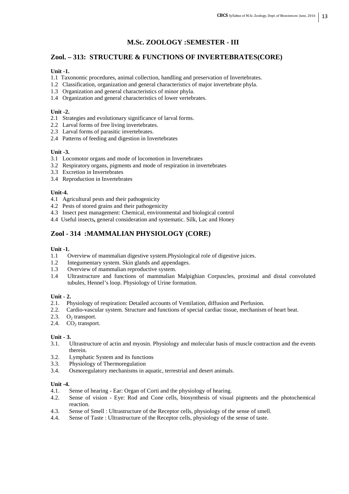# **M.Sc. ZOOLOGY :SEMESTER - III**

# **Zool. – 313: STRUCTURE & FUNCTIONS OF INVERTEBRATES(CORE)**

# **Unit -1.**

- 1.1 Taxonomic procedures, animal collection, handling and preservation of Invertebrates.
- 1.2 Classification, organization and general characteristics of major invertebrate phyla.
- 1.3 Organization and general characteristics of minor phyla.
- 1.4 Organization and general characteristics of lower vertebrates.

# **Unit -2.**

- 2.1 Strategies and evolutionary significance of larval forms.
- 2.2 Larval forms of free living invertebrates.
- 2.3 Larval forms of parasitic invertebrates.
- 2.4 Patterns of feeding and digestion in Invertebrates

# **Unit -3.**

- 3.1 Locomotor organs and mode of locomotion in Invertebrates
- 3.2 Respiratory organs, pigments and mode of respiration in invertebrates
- 3.3 Excretion in Invertebrates
- 3.4 Reproduction in Invertebrates

# **Unit-4.**

- 4.1 Agricultural pests and their pathogenicity
- 4.2 Pests of stored grains and their pathogenicity
- 4.3 Insect pest management: Chemical, environmental and biological control
- 4.4 Useful insects**,** general consideration and systematic. Silk, Lac and Honey

# **Zool - 314 :MAMMALIAN PHYSIOLOGY (CORE)**

# **Unit -1.**

- 1.1 Overview of mammalian digestive system. Physiological role of digestive juices.<br>1.2 Integumentary system. Skin glands and appendages.
- Integumentary system. Skin glands and appendages.
- 1.3 Overview of mammalian reproductive system.
- 1.4 Ultrastructure and functions of mammalian Malpighian Corpuscles, proximal and distal convoluted tubules, Hennel's loop. Physiology of Urine formation.

# **Unit - 2.**

- 2.1. Physiology of respiration: Detailed accounts of Ventilation, diffusion and Perfusion.
- 2.2. Cardio-vascular system. Structure and functions of special cardiac tissue, mechanism of heart beat.
- 2.3.  $O<sub>2</sub>$  transport.
- 2.4.  $CO<sub>2</sub> transport.$

# **Unit - 3.**

- 3.1. Ultrastructure of actin and myosin. Physiology and molecular basis of muscle contraction and the events therein.
- 3.2. Lymphatic System and its functions
- 3.3. Physiology of Thermoregulation
- 3.4. Osmoregulatory mechanisms in aquatic, terrestrial and desert animals.

#### **Unit -4.**

- 4.1. Sense of hearing Ear: Organ of Corti and the physiology of hearing.
- 4.2. Sense of vision Eye: Rod and Cone cells, biosynthesis of visual pigments and the photochemical reaction.
- 4.3. Sense of Smell : Ultrastructure of the Receptor cells, physiology of the sense of smell.
- 4.4. Sense of Taste : Ultrastructure of the Receptor cells, physiology of the sense of taste.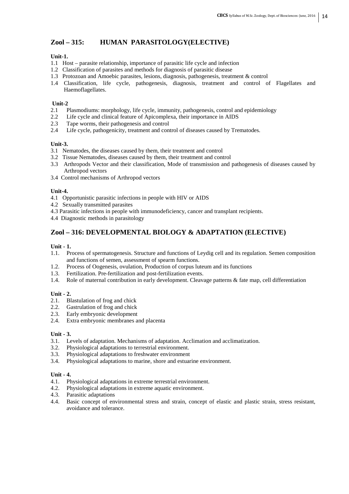# **Zool – 315: HUMAN PARASITOLOGY(ELECTIVE)**

# **Unit-1.**

- 1.1 Host parasite relationship, importance of parasitic life cycle and infection
- 1.2 Classification of parasites and methods for diagnosis of parasitic disease
- 1.3 Protozoan and Amoebic parasites, lesions, diagnosis, pathogenesis, treatment & control
- 1.4 Classification, life cycle, pathogenesis, diagnosis, treatment and control of Flagellates and Haemoflagellates.

# **Unit-2**

- 2.1 Plasmodiums: morphology, life cycle, immunity, pathogenesis, control and epidemiology
- 2.2 Life cycle and clinical feature of Apicomplexa, their importance in AIDS
- 2.3 Tape worms, their pathogenesis and control
- 2.4 Life cycle, pathogenicity, treatment and control of diseases caused by Trematodes.

# **Unit-3.**

- 3.1 Nematodes, the diseases caused by them, their treatment and control
- 3.2 Tissue Nematodes, diseases caused by them, their treatment and control
- 3.3 Arthropods Vector and their classification, Mode of transmission and pathogenesis of diseases caused by Arthropod vectors
- 3.4 Control mechanisms of Arthropod vectors

# **Unit-4.**

- 4.1 Opportunistic parasitic infections in people with HIV or AIDS
- 4.2 Sexually transmitted parasites
- 4.3 Parasitic infections in people with immunodeficiency, cancer and transplant recipients.
- 4.4 Diagnostic methods in parasitology

# **Zool – 316: DEVELOPMENTAL BIOLOGY & ADAPTATION (ELECTIVE)**

# **Unit - 1.**

- 1.1. Process of spermatogenesis. Structure and functions of Leydig cell and its regulation. Semen composition and functions of semen, assessment of spearm functions.
- 1.2. Process of Oogenesis, ovulation, Production of corpus luteum and its functions
- 1.3. Fertilization. Pre-fertilization and post-fertilization events.
- 1.4. Role of maternal contribution in early development. Cleavage patterns & fate map, cell differentiation

# **Unit - 2.**

- 2.1. Blastulation of frog and chick
- 2.2. Gastrulation of frog and chick
- 2.3. Early embryonic development
- 2.4. Extra embryonic membranes and placenta

# **Unit - 3.**

- 3.1. Levels of adaptation. Mechanisms of adaptation. Acclimation and acclimatization.
- 3.2. Physiological adaptations to terrestrial environment.
- 3.3. Physiological adaptations to freshwater environment
- 3.4. Physiological adaptations to marine, shore and estuarine environment.

# **Unit - 4.**

- 4.1. Physiological adaptations in extreme terrestrial environment.
- 4.2. Physiological adaptations in extreme aquatic environment.
- 4.3. Parasitic adaptations
- 4.4. Basic concept of environmental stress and strain, concept of elastic and plastic strain, stress resistant, avoidance and tolerance.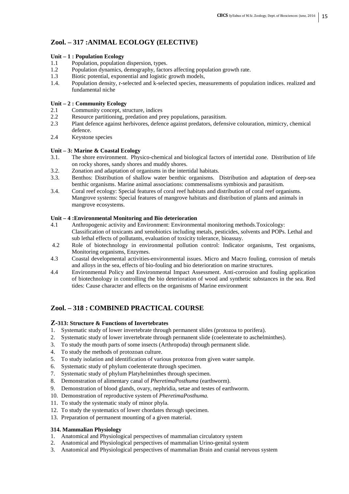# **Zool. – 317 :ANIMAL ECOLOGY (ELECTIVE)**

# **Unit – 1 : Population Ecology**

- 1.1 Population, population dispersion, types.
- 1.2 Population dynamics, demography, factors affecting population growth rate.
- 1.3 Biotic potential, exponential and logistic growth models,<br>1.4 Population density r-selected and k-selected species me
- Population density, r-selected and k-selected species, measurements of population indices. realized and fundamental niche

# **Unit – 2 : Community Ecology**

- 2.1 Community concept, structure, indices
- 2.2 Resource partitioning, predation and prey populations, parasitism.
- 2.3 Plant defence against herbivores, defence against predators, defensive colouration, mimicry, chemical defence.
- 2.4 Keystone species

# **Unit – 3: Marine & Coastal Ecology**

- 3.1. The shore environment. Physico-chemical and biological factors of intertidal zone. Distribution of life on rocky shores, sandy shores and muddy shores.
- 3.2. Zonation and adaptation of organisms in the intertidal habitats.
- 3.3. Benthos: Distribution of shallow water benthic organisms. Distribution and adaptation of deep-sea benthic organisms. Marine animal associations: commensalisms symbiosis and parasitism.
- 3.4. Coral reef ecology: Special features of coral reef habitats and distribution of coral reef organisms. Mangrove systems: Special features of mangrove habitats and distribution of plants and animals in mangrove ecosystems.

# **Unit – 4 :Environmental Monitoring and Bio deterioration**

- 4.1 Anthropogenic activity and Environment: Environmental monitoring methods.Toxicology: Classification of toxicants and xenobiotics including metals, pesticides, solvents and POPs. Lethal and sub lethal effects of pollutants, evaluation of toxicity tolerance, bioassay.
- 4.2 Role of biotechnology in environmental pollution control: Indicator organisms, Test organisms, Monitoring organisms, Enzymes.
- 4.3 Coastal developmental activities-environmental issues. Micro and Macro fouling, corrosion of metals and alloys in the sea, effects of bio-fouling and bio deterioration on marine structures.
- 4.4 Environmental Policy and Environmental Impact Assessment. Anti-corrosion and fouling application of biotechnology in controlling the bio deterioration of wood and synthetic substances in the sea. Red tides: Cause character and effects on the organisms of Marine environment

# **Zool. – 318 : COMBINED PRACTICAL COURSE**

# **Z-313: Structure & Functions of Invertebrates**

- 1. Systematic study of lower invertebrate through permanent slides (protozoa to porifera).
- 2. Systematic study of lower invertebrate through permanent slide (coelenterate to aschelminthes).
- 3. To study the mouth parts of some insects (Arthropoda) through permanent slide.
- 4. To study the methods of protozoan culture.
- 5. To study isolation and identification of various protozoa from given water sample.
- 6. Systematic study of phylum coelenterate through specimen.
- 7. Systematic study of phylum Platyhelminthes through specimen.
- 8. Demonstration of alimentary canal of *PheretimaPosthuma* (earthworm).
- 9. Demonstration of blood glands, ovary, nephridia, setae and testes of earthworm.
- 10. Demonstration of reproductive system of *PheretimaPosthuma.*
- 11. To study the systematic study of minor phyla.
- 12. To study the systematics of lower chordates through specimen.
- 13. Preparation of permanent mounting of a given material.

# **314. Mammalian Physiology**

- 1. Anatomical and Physiological perspectives of mammalian circulatory system
- 2. Anatomical and Physiological perspectives of mammalian Urino-genital system
- 3. Anatomical and Physiological perspectives of mammalian Brain and cranial nervous system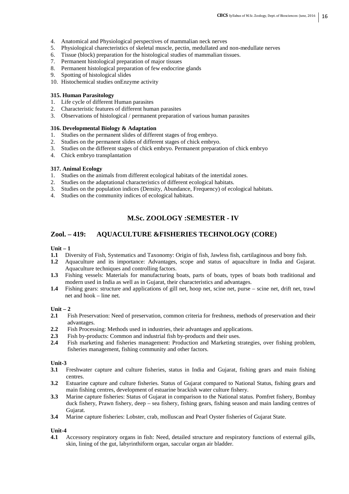- 4. Anatomical and Physiological perspectives of mammalian neck nerves
- 5. Physiological charecteristics of skeletal muscle, pectin, medullated and non-medullate nerves
- 6. Tissue (block) preparation for the histological studies of mammalian tissues.
- 7. Permanent histological preparation of major tissues
- 8. Permanent histological preparation of few endocrine glands
- 9. Spotting of histological slides
- 10. Histochemical studies onEnzyme activity

# **315. Human Parasitology**

- 1. Life cycle of different Human parasites
- 2. Characteristic features of different human parasites
- 3. Observations of histological / permanent preparation of various human parasites

### **316. Developmental Biology & Adaptation**

- 1. Studies on the permanent slides of different stages of frog embryo.
- 2. Studies on the permanent slides of different stages of chick embryo.
- 3. Studies on the different stages of chick embryo. Permanent preparation of chick embryo
- 4. Chick embryo transplantation

# **317. Animal Ecology**

- 1. Studies on the animals from different ecological habitats of the intertidal zones.
- 2. Studies on the adaptational characteristics of different ecological habitats.
- 3. Studies on the population indices (Density, Abundance, Frequency) of ecological habitats.
- 4. Studies on the community indices of ecological habitats.

# **M.Sc. ZOOLOGY :SEMESTER - IV**

# **Zool. – 419: AQUACULTURE &FISHERIES TECHNOLOGY (CORE)**

**Unit – 1** 

- **1.1** Diversity of Fish, Systematics and Taxonomy: Origin of fish, Jawless fish, cartilaginous and bony fish.
- **1.2** Aquaculture and its importance: Advantages, scope and status of aquaculture in India and Gujarat. Aquaculture techniques and controlling factors.
- **1.3** Fishing vessels: Materials for manufacturing boats, parts of boats, types of boats both traditional and modern used in India as well as in Gujarat, their characteristics and advantages.
- **1.4** Fishing gears: structure and applications of gill net, hoop net, scine net, purse scine net, drift net, trawl net and hook – line net.

#### **Unit – 2**

- **2.1** Fish Preservation: Need of preservation, common criteria for freshness, methods of preservation and their advantages.
- **2.2** Fish Processing: Methods used in industries, their advantages and applications.
- **2.3** Fish by-products: Common and industrial fish by-products and their uses.<br>**2.4** Fish marketing and fisheries management: Production and Marketing st
- **2.4** Fish marketing and fisheries management: Production and Marketing strategies, over fishing problem, fisheries management, fishing community and other factors.

# **Unit-3**

- **3.1** Freshwater capture and culture fisheries, status in India and Gujarat, fishing gears and main fishing centres.
- **3.2** Estuarine capture and culture fisheries. Status of Gujarat compared to National Status, fishing gears and main fishing centres, development of estuarine brackish water culture fishery.
- **3.3** Marine capture fisheries: Status of Gujarat in comparison to the National status. Pomfret fishery, Bombay duck fishery, Prawn fishery, deep – sea fishery, fishing gears, fishing season and main landing centres of Gujarat.
- **3.4** Marine capture fisheries: Lobster, crab, molluscan and Pearl Oyster fisheries of Gujarat State.

# **Unit-4**

**4.1** Accessory respiratory organs in fish: Need, detailed structure and respiratory functions of external gills, skin, lining of the gut, labyrinthiform organ, saccular organ air bladder.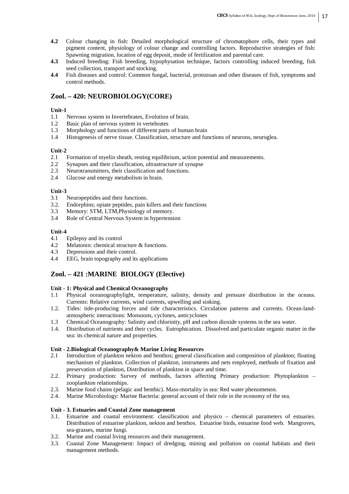- **4.2** Colour changing in fish: Detailed morphological structure of chromatophore cells, their types and pigment content, physiology of colour change and controlling factors. Reproductive strategies of fish: Spawning migration, location of egg deposit, mode of fertilization and parental care.
- **4.3** Induced breeding: Fish breeding, hypophysation technique, factors controlling induced breeding, fish seed collection, transport and stocking.
- **4.4** Fish diseases and control: Common fungal, bacterial, protozoan and other diseases of fish, symptoms and control methods.

# **Zool. – 420: NEUROBIOLOGY(CORE)**

# **Unit-1**

- 1.1 Nervous system in Invertebrates, Evolution of brain.
- 1.2 Basic plan of nervous system in vertebrates
- 1.3 Morphology and functions of different parts of human brain
- 1.4 Histogenesis of nerve tissue. Classification, structure and functions of neurons, neuroglea.

# **Unit-2**<br>2.1

- 2.1 Formation of myelin sheath, resting equilibrium, action potential and measurements.<br>2.2 Synapses and their classification, ultrastructure of synapse
- Synapses and their classification, ultrastructure of synapse
- 2.3 Neurotransmitters, their classification and functions.
- 2.4 Glucose and energy metabolism in brain.

# **Unit-3**<br>3.1

- 3.1 Neuropeptides and their functions.<br>3.2. Endorphins: opiate peptides, pain k
- 3.2. Endorphins; opiate peptides, pain killers and their functions
- 3.3 Memory: STM, LTM,Physiology of memory.
- 3.4 Role of Central Nervous System in hypertension

### **Unit-4**

- 4.1 Epilepsy and its control
- 4.2 Melatonin: chemical structure & functions.
- 4.3 Depressions and their control.
- 4.4 EEG, brain topography and its applications

# **Zool. – 421 :MARINE BIOLOGY (Elective)**

# **Unit - 1: Physical and Chemical Oceanography**

- 1.1 Physical oceanographylight, temperature, salinity, density and pressure distribution in the oceans. Currents: Relative currents, wind currents, upwelling and sinking.
- 1.2. Tides: tide-producing forces and tide characteristics. Circulation patterns and currents. Ocean-landatmospheric interactions: Monsoons, cyclones, anticyclones
- 
- 1.3 Chemical Oceanography: Salinity and chlorinity, pH and carbon dioxide systems in the sea water.<br>1.4. Distribution of nutrients and their cycles. Eutrophication. Dissolved and particulate organic matter. 1.4. Distribution of nutrients and their cycles. Eutrophication. Dissolved and particulate organic matter in the sea: its chemical nature and properties.

#### **Unit - 2.Biological Oceanography& Marine Living Resources**

- 2.1 Introduction of plankton nekton and benthos; general classification and composition of plankton; floating mechanism of plankton. Collection of plankton, instruments and nets employed, methods of fixation and preservation of plankton, Distribution of plankton in space and time.
- 2.2. Primary production: Survey of methods, factors affecting Primary production: Phytoplankton zooplankton relationships.
- 2.3. Marine food chains (pelagic and benthic). Mass-mortality in sea: Red water phenomenon.
- 2.4. Marine Microbiology: Marine Bacteria: general account of their role in the economy of the sea.

#### **Unit - 3. Estuaries and Coastal Zone management**

- 3.1. Estuarine and coastal environment: classification and physico chemical parameters of estuaries. Distribution of estuarine plankton, nekton and benthos. Estuarine birds, estuarine food web. Mangroves, sea-grasses, marine fungi.
- 3.2. Marine and coastal living resources and their management.
- 3.3. Coastal Zone Management: Impact of dredging, mining and pollution on coastal habitats and their management methods.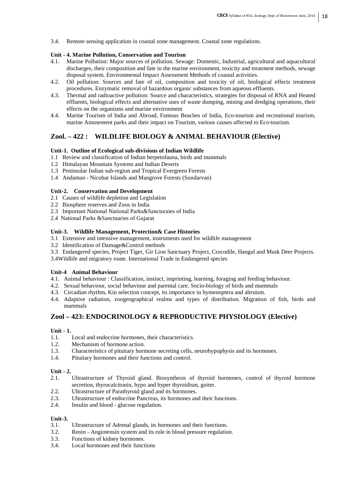3.4. Remote sensing application in coastal zone management. Coastal zone regulations.

# **Unit - 4. Marine Pollution, Conservation and Tourism**

- 4.1. Marine Pollution: Major sources of pollution. Sewage: Domestic, Industrial, agricultural and aquacultural discharges, their composition and fate in the marine environment, toxicity and treatment methods, sewage disposal system. Environmental Impact Assessment Methods of coastal activities.
- 4.2. Oil pollution: Sources and fate of oil, composition and toxicity of oil, biological effects treatment procedures. Enzymatic removal of hazardous organic substances from aqueous effluents.
- 4.3. Thermal and radioactive pollution: Source and characteristics, strategies for disposal of RNA and Heated effluents, biological effects and alternative uses of waste dumping, mining and dredging operations, their effects on the organisms and marine environment
- 4.4. Marine Tourism of India and Abroad, Famous Beaches of India, Eco-tourism and recreational tourism, marine Amusement parks and their impact on Tourism, various causes affected to Eco-tourism.

# **Zool. – 422 : WILDLIFE BIOLOGY & ANIMAL BEHAVIOUR (Elective)**

#### **Unit-1. Outline of Ecological sub-divisions of Indian Wildlife**

- 1.1 Review and classification of Indian herpetofauna, birds and mammals
- 1.2 Himalayan Mountain Systems and Indian Deserts
- 1.3 Peninsular Indian sub-region and Tropical Evergreen Forests
- 1.4 Andaman Nicobar Islands and Mangrove Forests (Sundarvan)

# **Unit-2. Conservation and Development**

- 2.1 Causes of wildlife depletion and Legislation
- 2.2 Biosphere reserves and Zoos in India
- 2.3 Important National National Parks&Sancturaies of India
- 2.4 National Parks &Sanctuaries of Gujarat

### **Unit-3. Wildlife Management, Protection& Case Histories**

- 3.1 Extensive and intensive management, instruments used for wildlife management
- 3.2 Identification of Damage&Control methods
- 3.3 Endangered species, Project Tiger, Gir Lion Sanctuary Project, Crocodile, Hangul and Musk Deer Projects.
- 3.4Wildlife and migratory route. International Trade in Endangered species

#### **Unit-4 Animal Behaviour**

- 4.1. Animal behaviour : Classification, instinct, imprinting, learning, foraging and feeding behaviour.
- 4.2. Sexual behaviour, social behaviour and parental care. Socio-biology of birds and mammals
- 4.3. Circadian rhythm, Kin selection concept, its importance in hymenoptera and altruism.
- 4.4. Adaptive radiation, zoogeographical realms and types of distribution. Migration of fish, birds and mammals

# **Zool – 423: ENDOCRINOLOGY & REPRODUCTIVE PHYSIOLOGY (Elective)**

# **Unit - 1.**

- 1.1. Local and endocrine hormones, their characteristics.
- 1.2. Mechanism of hormone action.
- 1.3. Characteristics of pituitary hormone secreting cells, neurohypophysis and its hormones.
- 1.4. Pituitary hormones and their functions and control.

# **Unit - 2.**

- 2.1. Ultrastructure of Thyroid gland. Biosynthesis of thyroid hormones, control of thyroid hormone secretion, thyrocalcitonin, hypo and hyper thyroidism, goiter.
- 2.2. Ultrastructure of Parathyroid gland and its hormones.
- 2.3. Ultrastructure of endocrine Pancreas, its hormones and their functions.
- 2.4. Insulin and blood glucose regulation.

# **Unit-3.**

- 3.1. Ultrastructure of Adrenal glands, its hormones and their functions.
- 3.2. Renin Angiotensin system and its role in blood pressure regulation.
- 3.3. Functions of kidney hormones.
- 3.4. Local hormones and their functions